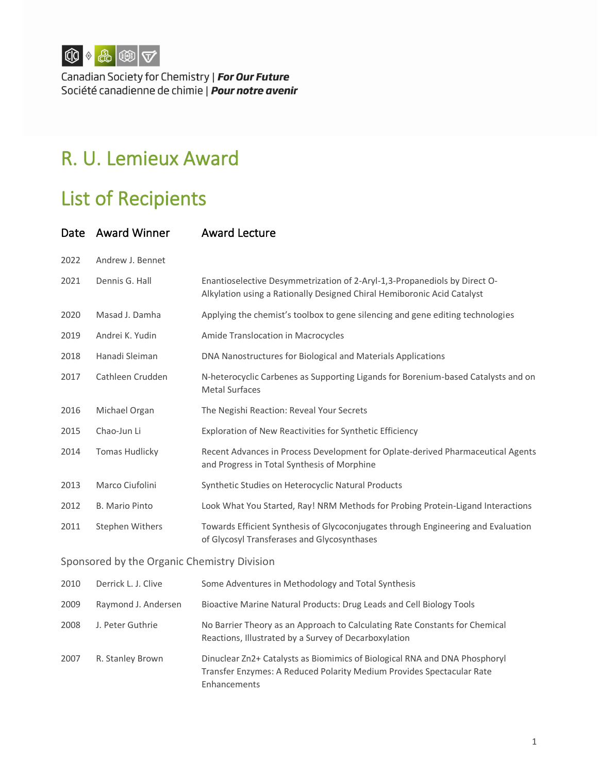

Canadian Society for Chemistry | For Our Future Société canadienne de chimie | **Pour notre avenir** 

## R. U. Lemieux Award

## List of Recipients

| Date                                        | <b>Award Winner</b>   | <b>Award Lecture</b>                                                                                                                                 |  |
|---------------------------------------------|-----------------------|------------------------------------------------------------------------------------------------------------------------------------------------------|--|
| 2022                                        | Andrew J. Bennet      |                                                                                                                                                      |  |
| 2021                                        | Dennis G. Hall        | Enantioselective Desymmetrization of 2-Aryl-1,3-Propanediols by Direct O-<br>Alkylation using a Rationally Designed Chiral Hemiboronic Acid Catalyst |  |
| 2020                                        | Masad J. Damha        | Applying the chemist's toolbox to gene silencing and gene editing technologies                                                                       |  |
| 2019                                        | Andrei K. Yudin       | Amide Translocation in Macrocycles                                                                                                                   |  |
| 2018                                        | Hanadi Sleiman        | DNA Nanostructures for Biological and Materials Applications                                                                                         |  |
| 2017                                        | Cathleen Crudden      | N-heterocyclic Carbenes as Supporting Ligands for Borenium-based Catalysts and on<br><b>Metal Surfaces</b>                                           |  |
| 2016                                        | Michael Organ         | The Negishi Reaction: Reveal Your Secrets                                                                                                            |  |
| 2015                                        | Chao-Jun Li           | Exploration of New Reactivities for Synthetic Efficiency                                                                                             |  |
| 2014                                        | <b>Tomas Hudlicky</b> | Recent Advances in Process Development for Oplate-derived Pharmaceutical Agents<br>and Progress in Total Synthesis of Morphine                       |  |
| 2013                                        | Marco Ciufolini       | Synthetic Studies on Heterocyclic Natural Products                                                                                                   |  |
| 2012                                        | <b>B.</b> Mario Pinto | Look What You Started, Ray! NRM Methods for Probing Protein-Ligand Interactions                                                                      |  |
| 2011                                        | Stephen Withers       | Towards Efficient Synthesis of Glycoconjugates through Engineering and Evaluation<br>of Glycosyl Transferases and Glycosynthases                     |  |
| Sponsored by the Organic Chemistry Division |                       |                                                                                                                                                      |  |
| 2010                                        | Derrick L. J. Clive   | Some Adventures in Methodology and Total Synthesis                                                                                                   |  |
| 2009                                        | Raymond J. Andersen   | Bioactive Marine Natural Products: Drug Leads and Cell Biology Tools                                                                                 |  |
| 2008                                        | J. Peter Guthrie      | No Barrier Theory as an Approach to Calculating Rate Constants for Chemical<br>Reactions, Illustrated by a Survey of Decarboxylation                 |  |
| 2007                                        | R. Stanley Brown      | Dinuclear Zn2+ Catalysts as Biomimics of Biological RNA and DNA Phosphoryl<br>Transfer Enzymes: A Reduced Polarity Medium Provides Spectacular Rate  |  |

Enhancements